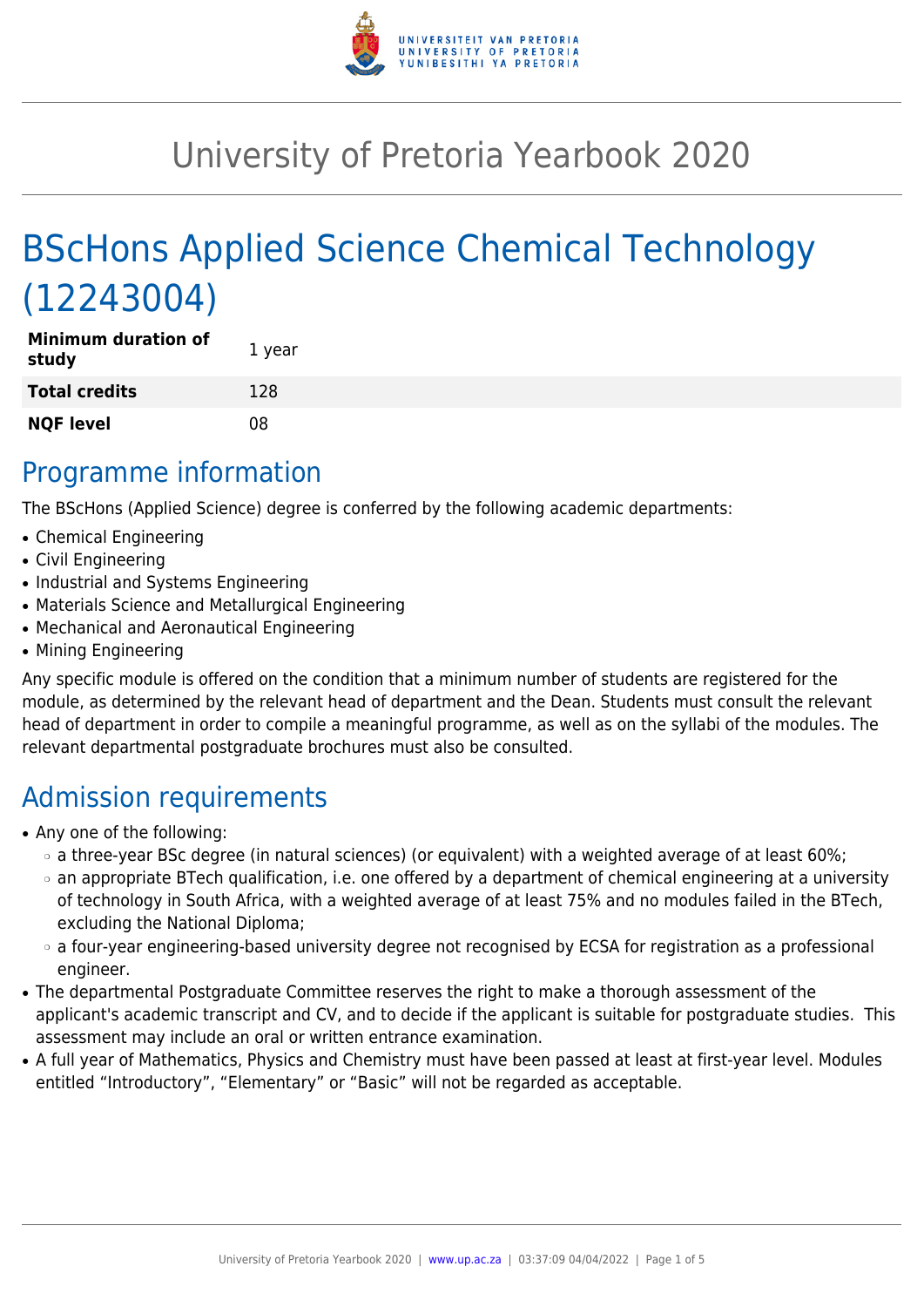

# University of Pretoria Yearbook 2020

# BScHons Applied Science Chemical Technology (12243004)

| <b>Minimum duration of</b><br>study | 1 year |
|-------------------------------------|--------|
| <b>Total credits</b>                | 128    |
| <b>NQF level</b>                    | 08     |

# Programme information

The BScHons (Applied Science) degree is conferred by the following academic departments:

- Chemical Engineering
- Civil Engineering
- Industrial and Systems Engineering
- Materials Science and Metallurgical Engineering
- Mechanical and Aeronautical Engineering
- Mining Engineering

Any specific module is offered on the condition that a minimum number of students are registered for the module, as determined by the relevant head of department and the Dean. Students must consult the relevant head of department in order to compile a meaningful programme, as well as on the syllabi of the modules. The relevant departmental postgraduate brochures must also be consulted.

# Admission requirements

- Any one of the following:
	- ❍ a three-year BSc degree (in natural sciences) (or equivalent) with a weighted average of at least 60%;
	- ❍ an appropriate BTech qualification, i.e. one offered by a department of chemical engineering at a university of technology in South Africa, with a weighted average of at least 75% and no modules failed in the BTech, excluding the National Diploma;
	- ❍ a four-year engineering-based university degree not recognised by ECSA for registration as a professional engineer.
- The departmental Postgraduate Committee reserves the right to make a thorough assessment of the applicant's academic transcript and CV, and to decide if the applicant is suitable for postgraduate studies. This assessment may include an oral or written entrance examination.
- A full year of Mathematics, Physics and Chemistry must have been passed at least at first-year level. Modules entitled "Introductory", "Elementary" or "Basic" will not be regarded as acceptable.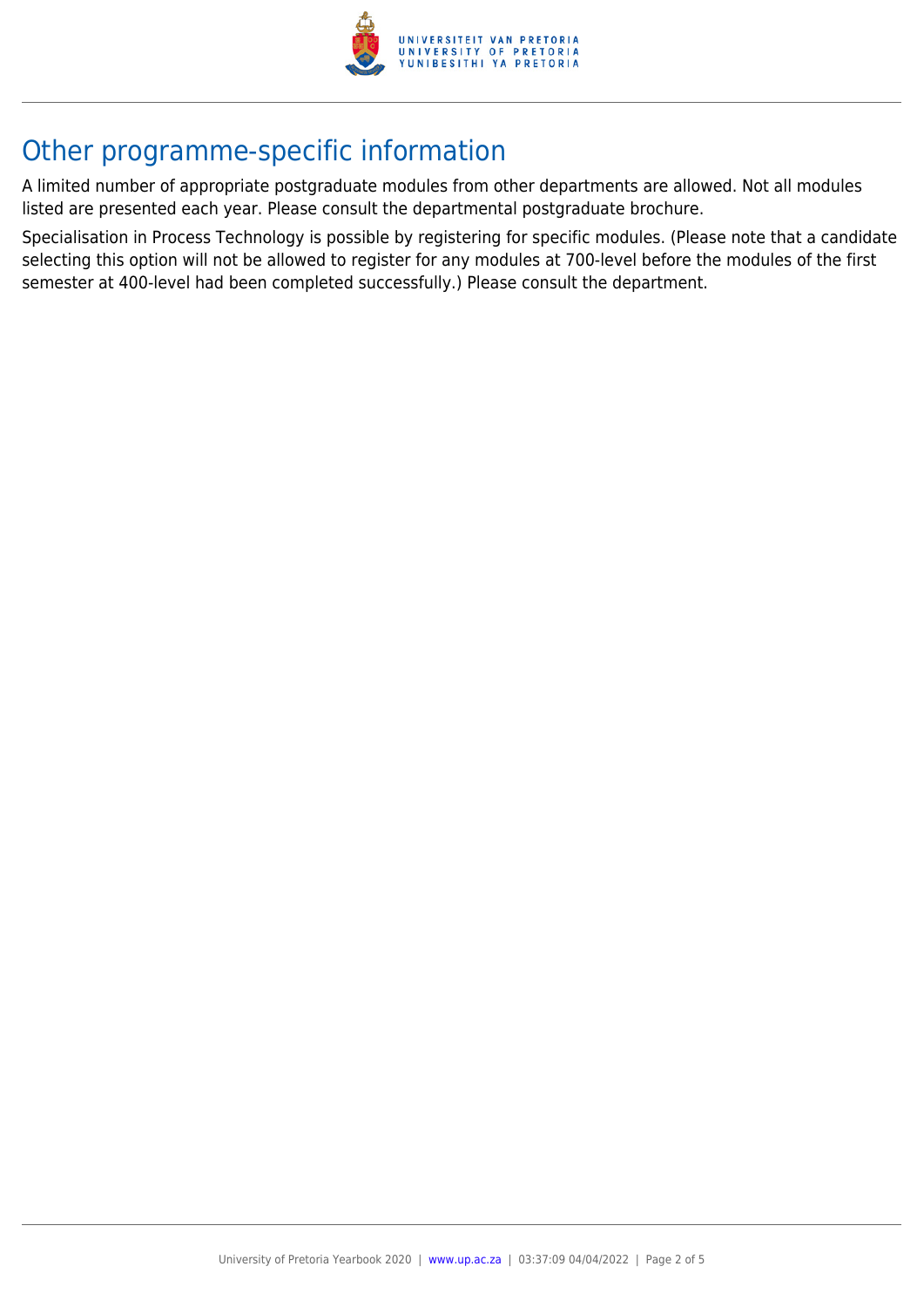

# Other programme-specific information

A limited number of appropriate postgraduate modules from other departments are allowed. Not all modules listed are presented each year. Please consult the departmental postgraduate brochure.

Specialisation in Process Technology is possible by registering for specific modules. (Please note that a candidate selecting this option will not be allowed to register for any modules at 700-level before the modules of the first semester at 400-level had been completed successfully.) Please consult the department.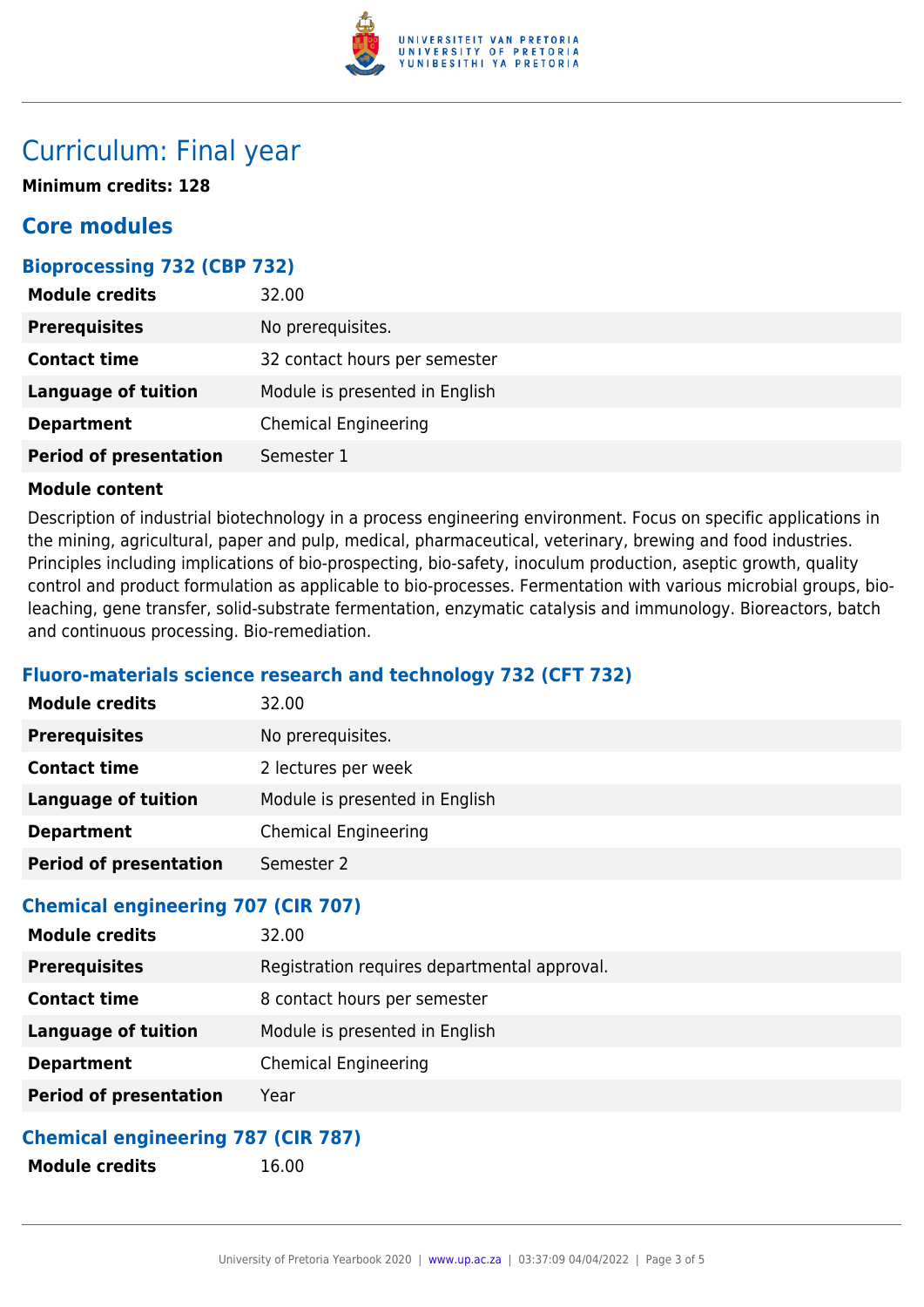

# Curriculum: Final year

**Minimum credits: 128**

## **Core modules**

#### **Bioprocessing 732 (CBP 732)**

| <b>Module credits</b>         | 32.00                          |
|-------------------------------|--------------------------------|
| <b>Prerequisites</b>          | No prerequisites.              |
| <b>Contact time</b>           | 32 contact hours per semester  |
| <b>Language of tuition</b>    | Module is presented in English |
| <b>Department</b>             | <b>Chemical Engineering</b>    |
| <b>Period of presentation</b> | Semester 1                     |

#### **Module content**

Description of industrial biotechnology in a process engineering environment. Focus on specific applications in the mining, agricultural, paper and pulp, medical, pharmaceutical, veterinary, brewing and food industries. Principles including implications of bio-prospecting, bio-safety, inoculum production, aseptic growth, quality control and product formulation as applicable to bio-processes. Fermentation with various microbial groups, bioleaching, gene transfer, solid-substrate fermentation, enzymatic catalysis and immunology. Bioreactors, batch and continuous processing. Bio-remediation.

### **Fluoro-materials science research and technology 732 (CFT 732)**

| <b>Module credits</b>                    | 32.00                          |
|------------------------------------------|--------------------------------|
| <b>Prerequisites</b>                     | No prerequisites.              |
| <b>Contact time</b>                      | 2 lectures per week            |
| <b>Language of tuition</b>               | Module is presented in English |
| <b>Department</b>                        | <b>Chemical Engineering</b>    |
| <b>Period of presentation</b>            | Semester 2                     |
| $Chamical$ angineering $707$ $(CID 707)$ |                                |

#### **Chemical engineering 707 (CIR 707)**

| Registration requires departmental approval.<br><b>Prerequisites</b><br>8 contact hours per semester<br><b>Contact time</b><br>Module is presented in English<br><b>Language of tuition</b><br><b>Chemical Engineering</b><br><b>Department</b> |
|-------------------------------------------------------------------------------------------------------------------------------------------------------------------------------------------------------------------------------------------------|
|                                                                                                                                                                                                                                                 |
|                                                                                                                                                                                                                                                 |
|                                                                                                                                                                                                                                                 |
|                                                                                                                                                                                                                                                 |
| <b>Period of presentation</b><br>Year                                                                                                                                                                                                           |

### **Chemical engineering 787 (CIR 787)**

**Module credits** 16.00

University of Pretoria Yearbook 2020 | [www.up.ac.za](https://www.up.ac.za/yearbooks/home) | 03:37:09 04/04/2022 | Page 3 of 5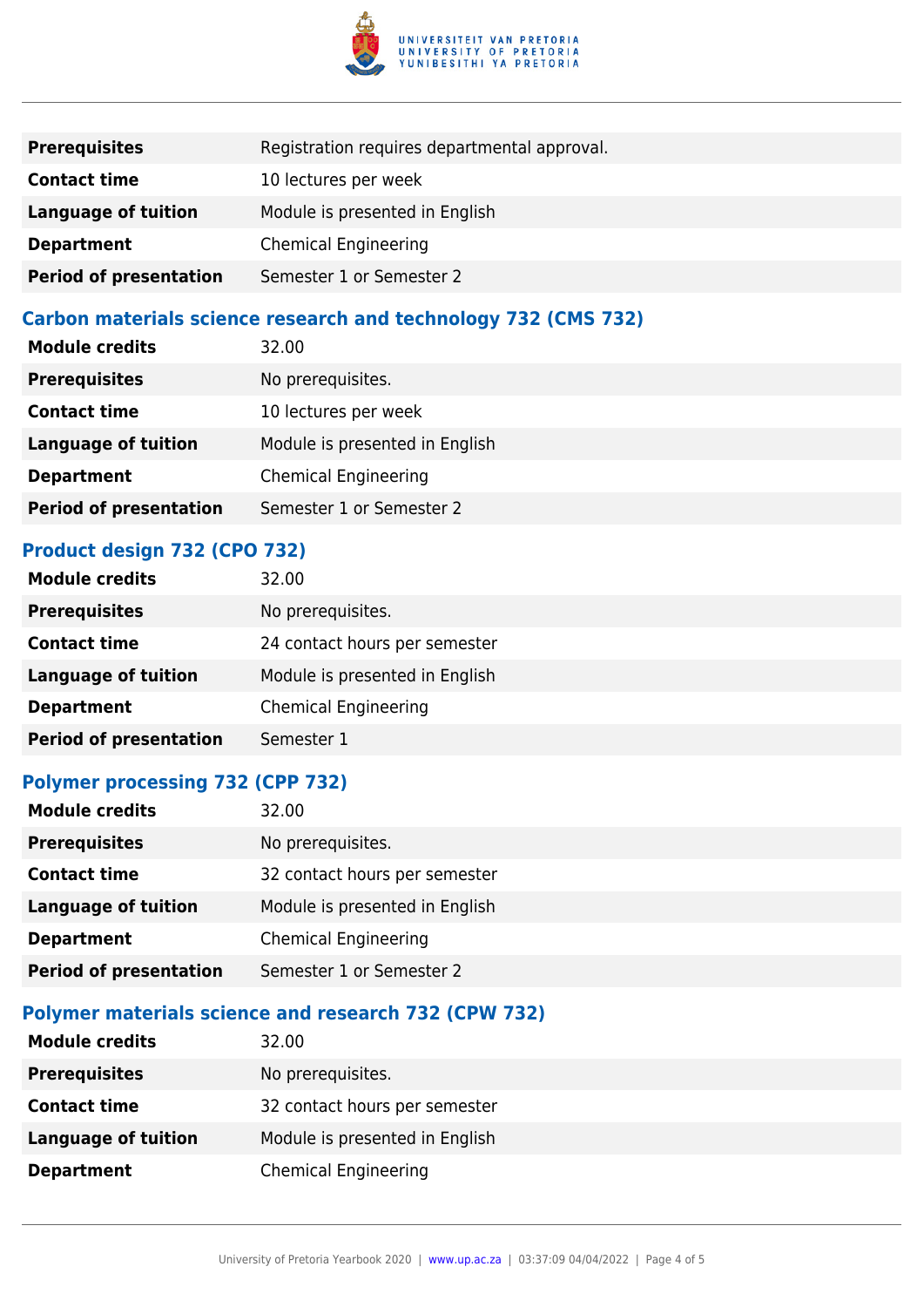

| <b>Prerequisites</b>          | Registration requires departmental approval. |
|-------------------------------|----------------------------------------------|
| <b>Contact time</b>           | 10 lectures per week                         |
| <b>Language of tuition</b>    | Module is presented in English               |
| <b>Department</b>             | <b>Chemical Engineering</b>                  |
| <b>Period of presentation</b> | Semester 1 or Semester 2                     |

### **Carbon materials science research and technology 732 (CMS 732)**

| <b>Module credits</b>         | 32.00                          |
|-------------------------------|--------------------------------|
| <b>Prerequisites</b>          | No prerequisites.              |
| <b>Contact time</b>           | 10 lectures per week           |
| <b>Language of tuition</b>    | Module is presented in English |
| <b>Department</b>             | <b>Chemical Engineering</b>    |
| <b>Period of presentation</b> | Semester 1 or Semester 2       |

#### **Product design 732 (CPO 732)**

| <b>Module credits</b>         | 32.00                          |
|-------------------------------|--------------------------------|
| <b>Prerequisites</b>          | No prerequisites.              |
| <b>Contact time</b>           | 24 contact hours per semester  |
| <b>Language of tuition</b>    | Module is presented in English |
| <b>Department</b>             | <b>Chemical Engineering</b>    |
| <b>Period of presentation</b> | Semester 1                     |

#### **Polymer processing 732 (CPP 732)**

| <b>Module credits</b>         | 32.00                          |
|-------------------------------|--------------------------------|
| <b>Prerequisites</b>          | No prerequisites.              |
| <b>Contact time</b>           | 32 contact hours per semester  |
| <b>Language of tuition</b>    | Module is presented in English |
| <b>Department</b>             | <b>Chemical Engineering</b>    |
| <b>Period of presentation</b> | Semester 1 or Semester 2       |
|                               |                                |

### **Polymer materials science and research 732 (CPW 732)**

| <b>Module credits</b> | 32.00                          |
|-----------------------|--------------------------------|
| <b>Prerequisites</b>  | No prerequisites.              |
| <b>Contact time</b>   | 32 contact hours per semester  |
| Language of tuition   | Module is presented in English |
| <b>Department</b>     | Chemical Engineering           |